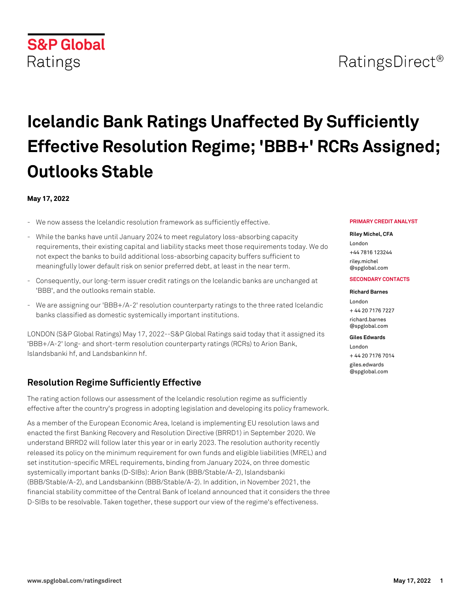## RatingsDirect<sup>®</sup>

# **Icelandic Bank Ratings Unaffected By Sufficiently Effective Resolution Regime; 'BBB+' RCRs Assigned; Outlooks Stable**

#### **May 17, 2022**

**S&P Global** 

Ratings

- We now assess the Icelandic resolution framework as sufficiently effective.
- While the banks have until January 2024 to meet regulatory loss-absorbing capacity requirements, their existing capital and liability stacks meet those requirements today. We do not expect the banks to build additional loss-absorbing capacity buffers sufficient to meaningfully lower default risk on senior preferred debt, at least in the near term.
- Consequently, our long-term issuer credit ratings on the Icelandic banks are unchanged at 'BBB', and the outlooks remain stable.
- We are assigning our 'BBB+/A-2' resolution counterparty ratings to the three rated Icelandic banks classified as domestic systemically important institutions.

LONDON (S&P Global Ratings) May 17, 2022--S&P Global Ratings said today that it assigned its 'BBB+/A-2' long- and short-term resolution counterparty ratings (RCRs) to Arion Bank, Islandsbanki hf, and Landsbankinn hf.

## **Resolution Regime Sufficiently Effective**

The rating action follows our assessment of the Icelandic resolution regime as sufficiently effective after the country's progress in adopting legislation and developing its policy framework.

As a member of the European Economic Area, Iceland is implementing EU resolution laws and enacted the first Banking Recovery and Resolution Directive (BRRD1) in September 2020. We understand BRRD2 will follow later this year or in early 2023. The resolution authority recently released its policy on the minimum requirement for own funds and eligible liabilities (MREL) and set institution-specific MREL requirements, binding from January 2024, on three domestic systemically important banks (D-SIBs): Arion Bank (BBB/Stable/A-2), Islandsbanki (BBB/Stable/A-2), and Landsbankinn (BBB/Stable/A-2). In addition, in November 2021, the financial stability committee of the Central Bank of Iceland announced that it considers the three D-SIBs to be resolvable. Taken together, these support our view of the regime's effectiveness.

#### **PRIMARY CREDIT ANALYST**

#### **Riley Michel, CFA**

London +44 7816 123244 [riley.michel](mailto: riley.michel@spglobal.com) [@spglobal.com](mailto: riley.michel@spglobal.com)

#### **SECONDARY CONTACTS**

## **Richard Barnes**

London + 44 20 7176 7227 [richard.barnes](mailto: richard.barnes@spglobal.com) [@spglobal.com](mailto: richard.barnes@spglobal.com)

#### **Giles Edwards**

London + 44 20 7176 7014 [giles.edwards](mailto: giles.edwards@spglobal.com) [@spglobal.com](mailto: giles.edwards@spglobal.com)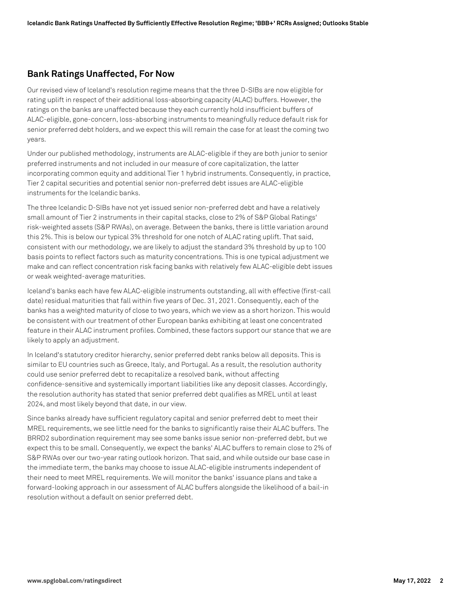### **Bank Ratings Unaffected, For Now**

Our revised view of Iceland's resolution regime means that the three D-SIBs are now eligible for rating uplift in respect of their additional loss-absorbing capacity (ALAC) buffers. However, the ratings on the banks are unaffected because they each currently hold insufficient buffers of ALAC-eligible, gone-concern, loss-absorbing instruments to meaningfully reduce default risk for senior preferred debt holders, and we expect this will remain the case for at least the coming two years.

Under our published methodology, instruments are ALAC-eligible if they are both junior to senior preferred instruments and not included in our measure of core capitalization, the latter incorporating common equity and additional Tier 1 hybrid instruments. Consequently, in practice, Tier 2 capital securities and potential senior non-preferred debt issues are ALAC-eligible instruments for the Icelandic banks.

The three Icelandic D-SIBs have not yet issued senior non-preferred debt and have a relatively small amount of Tier 2 instruments in their capital stacks, close to 2% of S&P Global Ratings' risk-weighted assets (S&P RWAs), on average. Between the banks, there is little variation around this 2%. This is below our typical 3% threshold for one notch of ALAC rating uplift. That said, consistent with our methodology, we are likely to adjust the standard 3% threshold by up to 100 basis points to reflect factors such as maturity concentrations. This is one typical adjustment we make and can reflect concentration risk facing banks with relatively few ALAC-eligible debt issues or weak weighted-average maturities.

Iceland's banks each have few ALAC-eligible instruments outstanding, all with effective (first-call date) residual maturities that fall within five years of Dec. 31, 2021. Consequently, each of the banks has a weighted maturity of close to two years, which we view as a short horizon. This would be consistent with our treatment of other European banks exhibiting at least one concentrated feature in their ALAC instrument profiles. Combined, these factors support our stance that we are likely to apply an adjustment.

In Iceland's statutory creditor hierarchy, senior preferred debt ranks below all deposits. This is similar to EU countries such as Greece, Italy, and Portugal. As a result, the resolution authority could use senior preferred debt to recapitalize a resolved bank, without affecting confidence-sensitive and systemically important liabilities like any deposit classes. Accordingly, the resolution authority has stated that senior preferred debt qualifies as MREL until at least 2024, and most likely beyond that date, in our view.

Since banks already have sufficient regulatory capital and senior preferred debt to meet their MREL requirements, we see little need for the banks to significantly raise their ALAC buffers. The BRRD2 subordination requirement may see some banks issue senior non-preferred debt, but we expect this to be small. Consequently, we expect the banks' ALAC buffers to remain close to 2% of S&P RWAs over our two-year rating outlook horizon. That said, and while outside our base case in the immediate term, the banks may choose to issue ALAC-eligible instruments independent of their need to meet MREL requirements. We will monitor the banks' issuance plans and take a forward-looking approach in our assessment of ALAC buffers alongside the likelihood of a bail-in resolution without a default on senior preferred debt.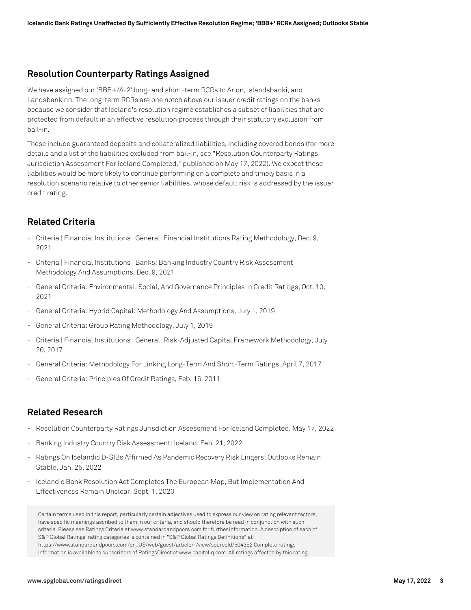## **Resolution Counterparty Ratings Assigned**

We have assigned our 'BBB+/A-2' long- and short-term RCRs to Arion, Islandsbanki, and Landsbankinn. The long-term RCRs are one notch above our issuer credit ratings on the banks because we consider that Iceland's resolution regime establishes a subset of liabilities that are protected from default in an effective resolution process through their statutory exclusion from bail-in.

These include guaranteed deposits and collateralized liabilities, including covered bonds (for more details and a list of the liabilities excluded from bail-in, see "Resolution Counterparty Ratings Jurisdiction Assessment For Iceland Completed," published on May 17, 2022). We expect these liabilities would be more likely to continue performing on a complete and timely basis in a resolution scenario relative to other senior liabilities, whose default risk is addressed by the issuer credit rating.

## **Related Criteria**

- Criteria | Financial Institutions | General: Financial Institutions Rating Methodology, Dec. 9, 2021
- Criteria | Financial Institutions | Banks: Banking Industry Country Risk Assessment Methodology And Assumptions, Dec. 9, 2021
- General Criteria: Environmental, Social, And Governance Principles In Credit Ratings, Oct. 10, 2021
- General Criteria: Hybrid Capital: Methodology And Assumptions, July 1, 2019
- General Criteria: Group Rating Methodology, July 1, 2019
- Criteria | Financial Institutions | General: Risk-Adjusted Capital Framework Methodology, July 20, 2017
- General Criteria: Methodology For Linking Long-Term And Short-Term Ratings, April 7, 2017
- General Criteria: Principles Of Credit Ratings, Feb. 16, 2011

## **Related Research**

- Resolution Counterparty Ratings Jurisdiction Assessment For Iceland Completed, May 17, 2022
- Banking Industry Country Risk Assessment: Iceland, Feb. 21, 2022
- Ratings On Icelandic D-SIBs Affirmed As Pandemic Recovery Risk Lingers; Outlooks Remain Stable, Jan. 25, 2022
- Icelandic Bank Resolution Act Completes The European Map, But Implementation And Effectiveness Remain Unclear, Sept. 1, 2020

Certain terms used in this report, particularly certain adjectives used to express our view on rating relevant factors, have specific meanings ascribed to them in our criteria, and should therefore be read in conjunction with such criteria. Please see Ratings Criteria at www.standardandpoors.com for further information. A description of each of S&P Global Ratings' rating categories is contained in "S&P Global Ratings Definitions" at https://www.standardandpoors.com/en\_US/web/guest/article/-/view/sourceId/504352 Complete ratings information is available to subscribers of RatingsDirect at www.capitaliq.com. All ratings affected by this rating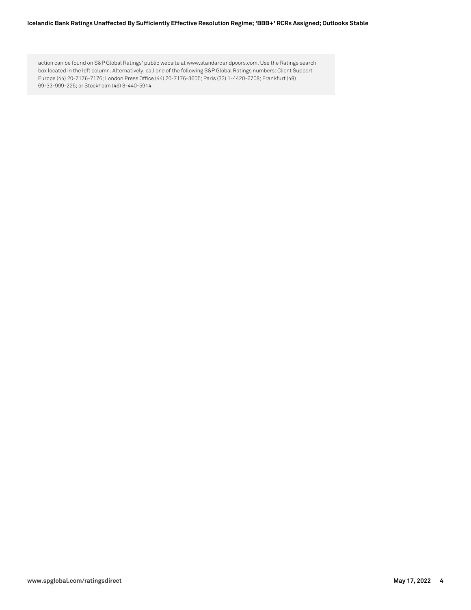#### **Icelandic Bank Ratings Unaffected By Sufficiently Effective Resolution Regime; 'BBB+' RCRs Assigned; Outlooks Stable**

action can be found on S&P Global Ratings' public website at www.standardandpoors.com. Use the Ratings search box located in the left column. Alternatively, call one of the following S&P Global Ratings numbers: Client Support Europe (44) 20-7176-7176; London Press Office (44) 20-7176-3605; Paris (33) 1-4420-6708; Frankfurt (49) 69-33-999-225; or Stockholm (46) 8-440-5914